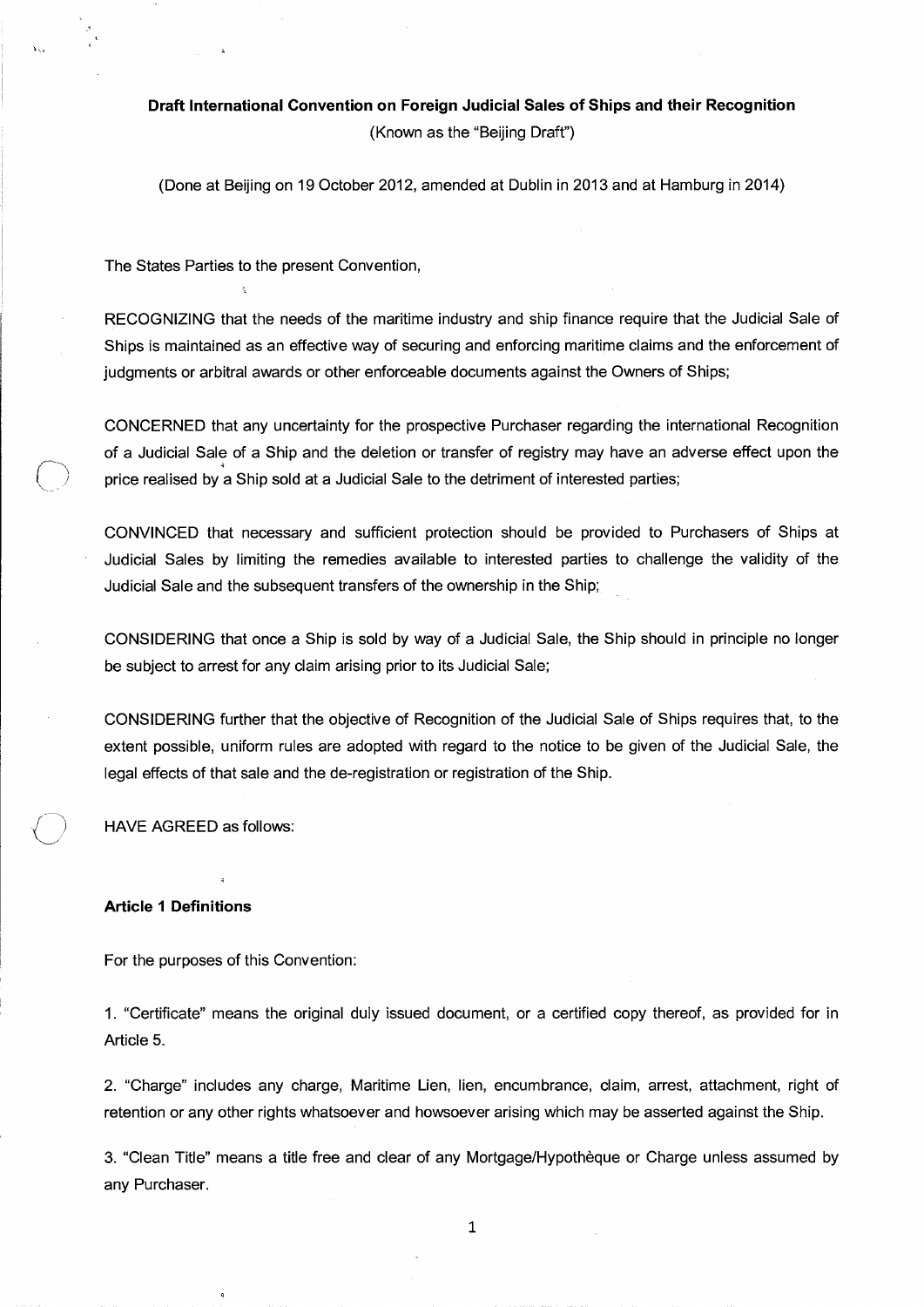Draft International Convention on Foreign Judicial Sales of Ships and their Recognition (Known as the "Beijing Draft")

(Done at Beijing on 19 October 2012, amended at Dublin in 2013 and at Hamburg in 2014)

The States Parties to the present Convention,

1 ... ~

RECOGNIZING that the needs of the maritime industry and ship finance require that the Judicial Sale of Ships is maintained as an effective way of securing and enforcing maritime claims and the enforcement of judgments or arbitral awards or other enforceable documents against the Owners of Ships;

CONCERNED that any uncertainty for the prospective Purchaser regarding the international Recognition of a Judicial Sale of a Ship and the deletion or transfer of registry may have an adverse effect upon the 3 price realised by a Ship sold at a Judicial Sale to the detriment of interested parties;

CONVINCED that necessary and sufficient protection should be provided to Purchasers of Ships at Judicial Sales by limiting the remedies available to interested parties to challenge the validity of the Judicial Sale and the subsequent transfers of the ownership in the Ship;.

CONSIDERING that once a Ship is sold by way of a Judicial Sale, the Ship should in principle no longer be subject to arrest for any claim arising prior to its Judicial Sale;

CONSIDERING further that the objective of Recognition of the Judicial Sale of Ships requires that, to the extent possible, uniform rules are adopted with regard to the notice to be given of the Judicial Sale, the legal effects of that sale and the de-registration or registration of the Ship.

HAVE AGREED as follows:

# Article 1 Definitions

 $\bigcirc$ 

For the purposes of this Convention:

1. "Certificate" means the original duly issued document, or a certified copy thereof, as provided for in Article 5.

2. "Charge" includes any charge, Maritime Lien, lien, encumbrance, claim, arrest, attachment, right of retention or any other rights whatsoever and howsoever arising which may be asserted against the Ship.

3. "Clean Title" means a title free and clear of any Mortgage/Hypotheque or Charge unless assumed by any Purchaser.

1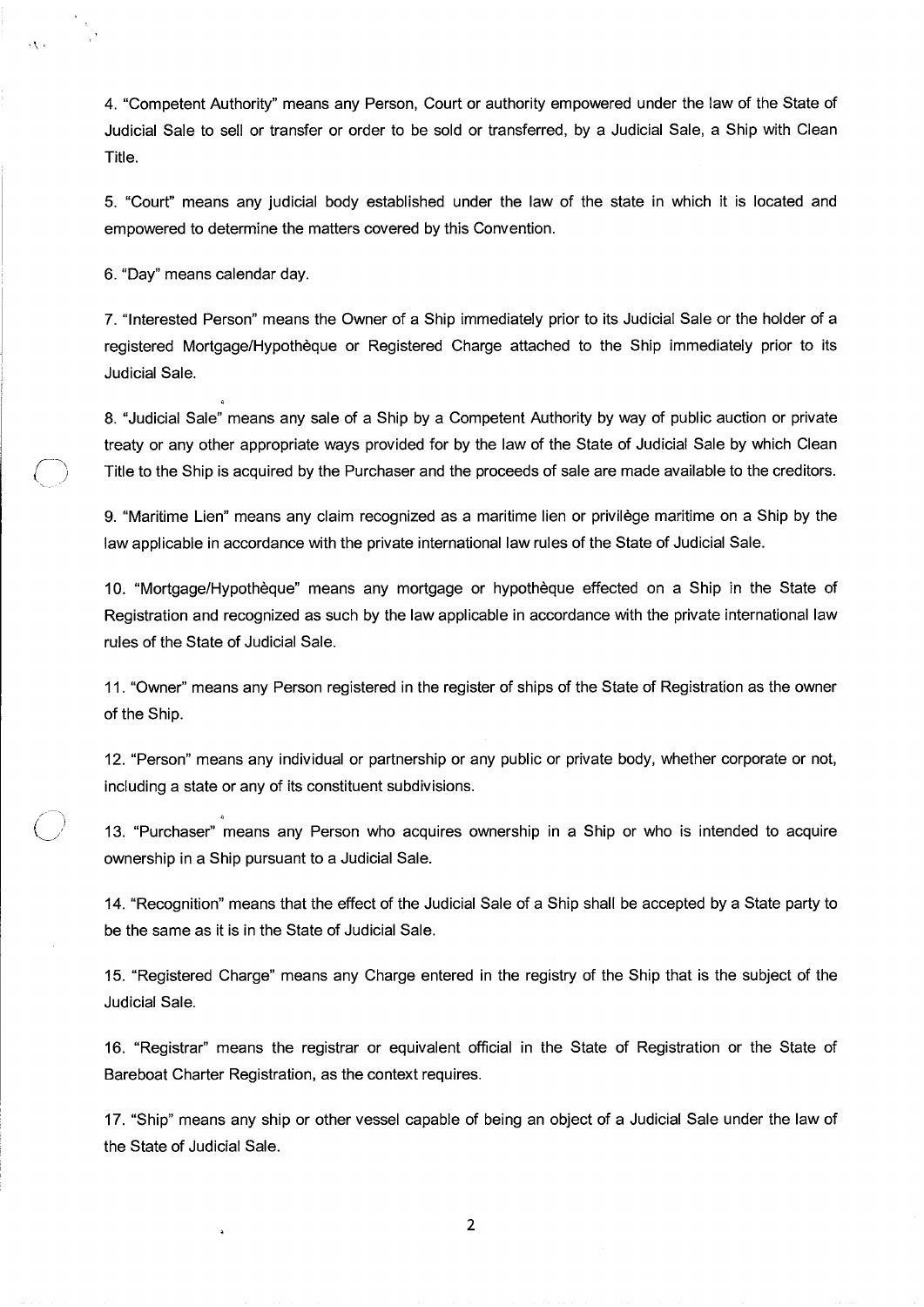4. "Competent Authority" means any Person, Court or authority empowered under the law of the State of Judicial Sale to sell or transfer or order to be sold or transferred, by a Judicial Sale, a Ship with Clean Title.

5. "Court" means any judicial body established under the law of the state in which it is located and empowered to determine the matters covered by this Convention.

6. "Day" means calendar day.

a

a

 $\sim$ 

7. "Interested Person" means the Owner of a Ship immediately prior to its Judicial Sale or the holder of a registered Mortgage/Hypothèque or Registered Charge attached to the Ship immediately prior to its Judicial Sale.

8. "Judicial Sale" means any sale of a Ship by a Competent Authority by way of public auction or private treaty or any other appropriate ways provided for by the law of the State of Judicial Sale by which Clean Title to the Ship is acquired by the Purchaser and the proceeds of sale are made available to the creditors.

9. "Maritime Lien" means any claim recognized as a maritime lien or privilege maritime on a Ship by the law applicable in accordance with the private international law rules of the State of Judicial Sale.

10. "Mortgage/Hypotheque" means any mortgage or hypotheque effected on a Ship in the State of Registration and recognized as such by the law applicable in accordance with the private international law rules of the State of Judicial Sale.

1 1. "Owner" means any Person registered in the register of ships of the State of Registration as the owner of the Ship.

12. "Person" means any individual or partnership or any public or private body, whether corporate or not, including a state or any of its constituent subdivisions.

13. "Purchaser" means any Person who acquires ownership in a Ship or who is intended to acquire ownership in a Ship pursuant to a Judicial Sale.

14. "Recognition" means that the effect of the Judicial Sale of a Ship shall be accepted by a State party to be the same as it is in the State of Judicial Sale.

15. "Registered Charge" means any Charge entered in the registry of the Ship that is the subject of the Judicial Sale.

16. "Registrar" means the registrar or equivalent official in the State of Registration or the State of Bareboat Charter Registration, as the context requires.

17. "Ship" means any ship or other vessel capable of being an object of a Judicial Sale under the law of the State of Judicial Sale.

 $\overline{a}$  2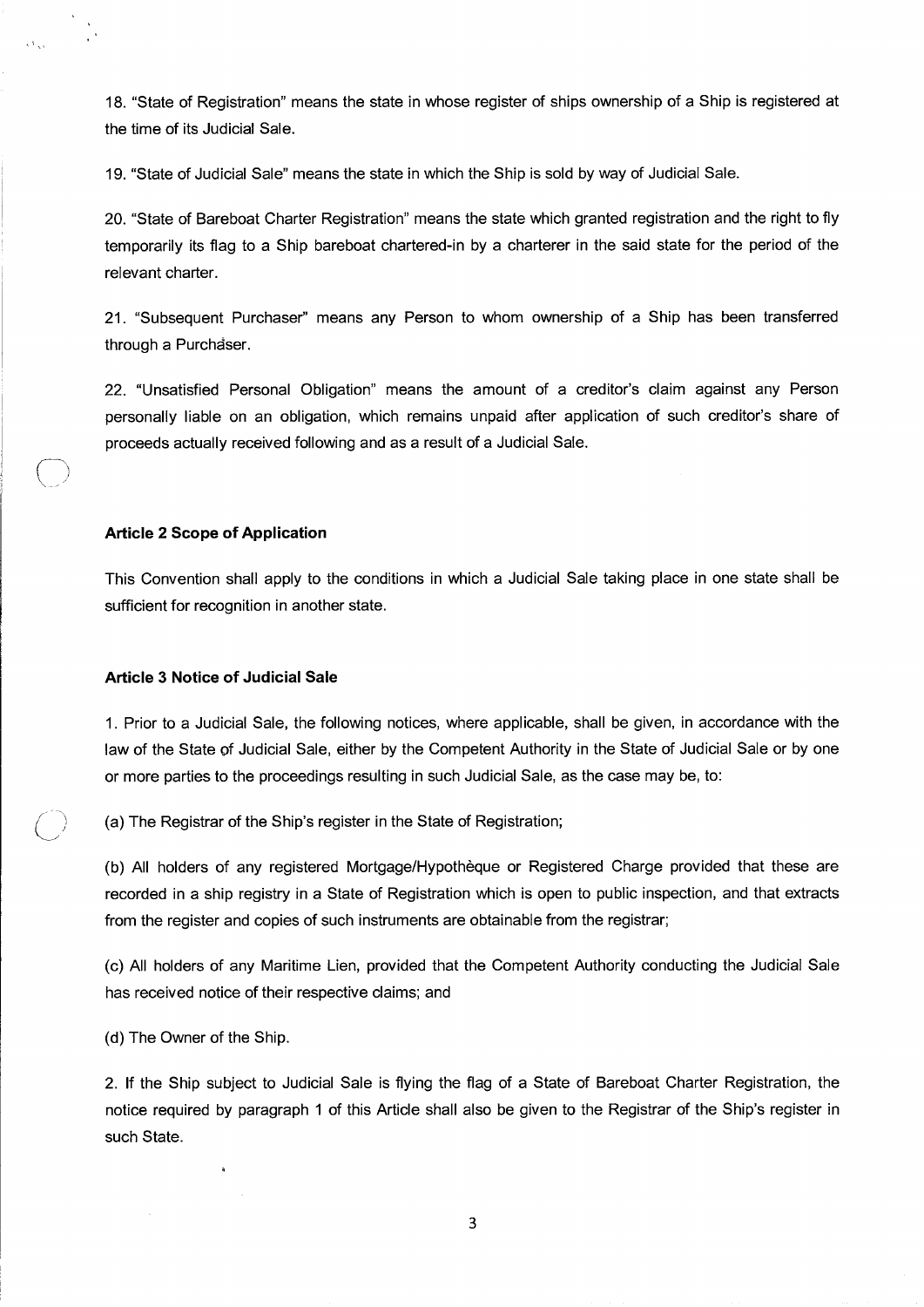18. "State of Registration" means the state in whose register of ships ownership of a Ship is registered at the time of its Judicial Sale.

19. "State of Judicial Sale" means the state in which the Ship is sold by way of Judicial Sale.

20. "State of Bareboat Charter Registration" means the state which granted registration and the right to fly temporarily its flag to a Ship bareboat chartered-in by a charterer in the said state for the period of the relevant charter.

21. "Subsequent Purchaser" means any Person to whom ownership of a Ship has been transferred through a Purchaser.

22. "Unsatisfied Personal Obligation" means the amount of a creditor's claim against any Person personally liable on an obligation, which remains unpaid after application of such creditor's share of proceeds actually received following and as a result of a Judicial Sale.

## Article 2 Scope of Application

 $\hat{\alpha}_{\rm xe}$  .

This Convention shall apply to the conditions in which a Judicial Sale taking place in one state shall be sufficient for recognition in another state.

#### Article 3 Notice of Judicial Sale

1. Prior to a Judicial Sale, the following notices, where applicable, shall be given, in accordance with the law of the State pf Judicial Sale, either by the Competent Authority in the State of Judicial Sale or by one or more parties to the proceedings resulting in such Judicial Sale, as the case may be, to:

(a) The Registrar of the Ship's register in the State of Registration;

(b) All holders of any registered Mortgage/Hypotheque or Registered Charge provided that these are recorded in a ship registry in a State of Registration which is open to public inspection, and that extracts from the register and copies of such instruments are obtainable from the registrar;

(c) All holders of any Maritime Lien, provided that the Competent Authority conducting the Judicial Sale has received notice of their respective claims; and

(d) The Owner of the Ship.

2. If the Ship subject to Judicial Sale is flying the flag of a State of Bareboat Charter Registration, the notice required by paragraph 1 of this Article shall also be given to the Registrar of the Ship's register in such State.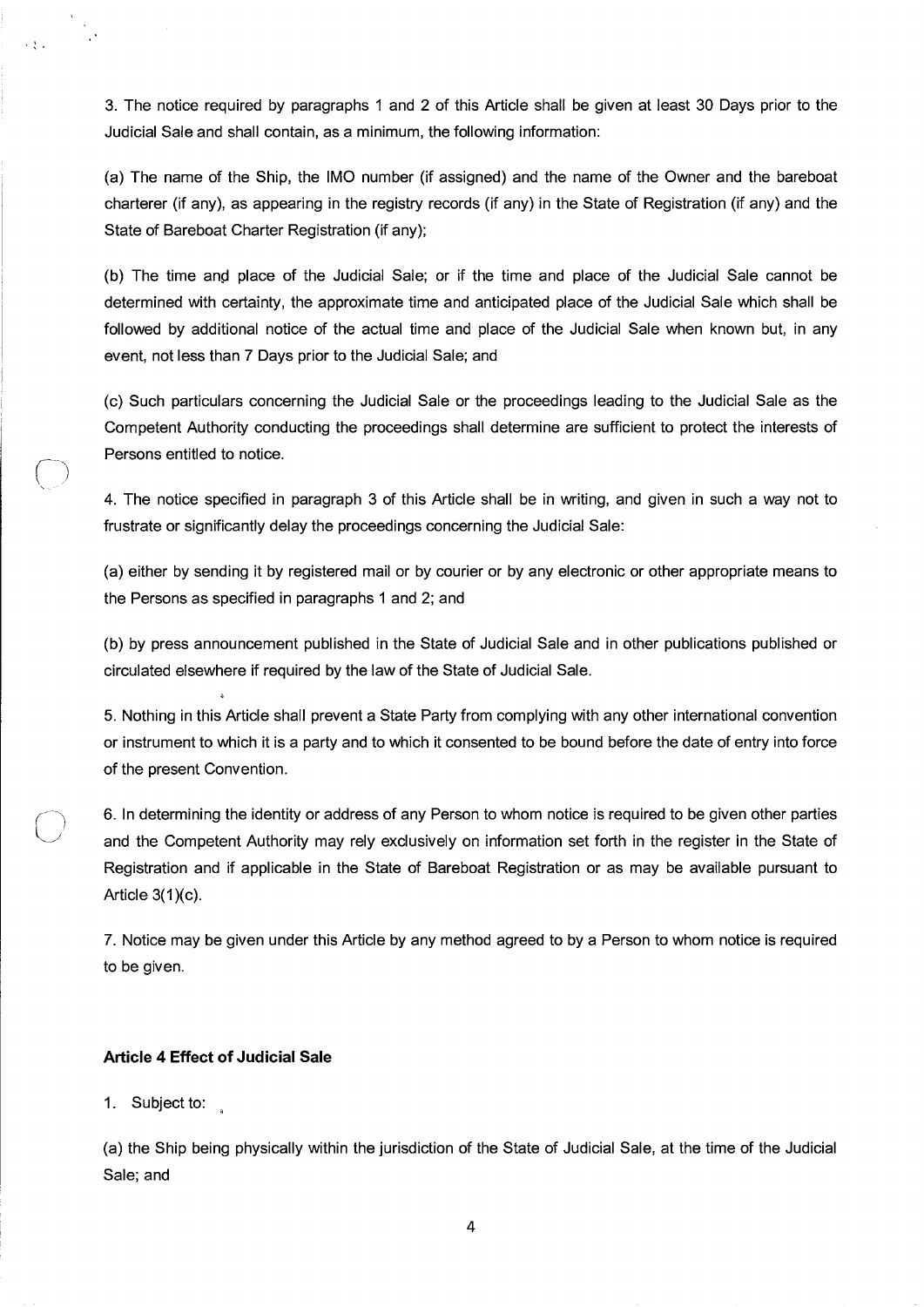3. The notice required by paragraphs 1 and 2 of this Article shall be given at least 30 Days prior to the Judicial Sale and shall contain, as a minimum, the following information:

(a) The name of the Ship, the IMO number (if assigned) and the name of the Owner and the bareboat charterer (if any), as appearing in the registry records (if any) in the State of Registration (if any) and the State of Bareboat Charter Registration (if any);

(b) The time and place of the Judicial Sale; or if the time and place of the Judicial Sale cannot be determined with certainty, the approximate time and anticipated place of the Judicial Sale which shall be followed by additional notice of the actual time and place of the Judicial Sale when known but, in any event, not less than 7 Days prior to the Judicial Sale; and

(c) Such particulars concerning the Judicial Sale or the proceedings leading to the Judicial Sale as the Competent Authority conducting the proceedings shall determine are sufficient to protect the interests of Persons entitled to notice.

4. The notice specified in paragraph 3 of this Article shall be in writing, and given in such a way not to frustrate or significantly delay the proceedings concerning the Judicial Sale:

(a) either by sending it by registered mail or by courier or by any electronic or other appropriate means to the Persons as specified in paragraphs 1 and 2; and

(b) by press announcement published in the State of Judicial Sale and in other publications published or circulated elsewhere if required by the law of the State of Judicial Sale.

5. Nothing in this Article shall prevent a State Party from complying with any other international convention or instrument to which it is a party and to which it consented to be bound before the date of entry into force of the present Convention.

6. In determining the identity or address of any Person to whom notice is required to be given other parties and the Competent Authority may rely exclusively on information set forth in the register in the State of Registration and if applicable in the State of Bareboat Registration or as may be available pursuant to Article 3(1)(c).

7. Notice may be given under this Article by any method agreed to by a Person to whom notice is required to be given.

# Article 4 Effect of Judicial Sale

1. Subject to:  $\frac{1}{2}$ 

 $\sqrt{1-x^2}$ 

(a) the Ship being physically within the jurisdiction of the State of Judicial Sale, at the time of the Judicial Sale; and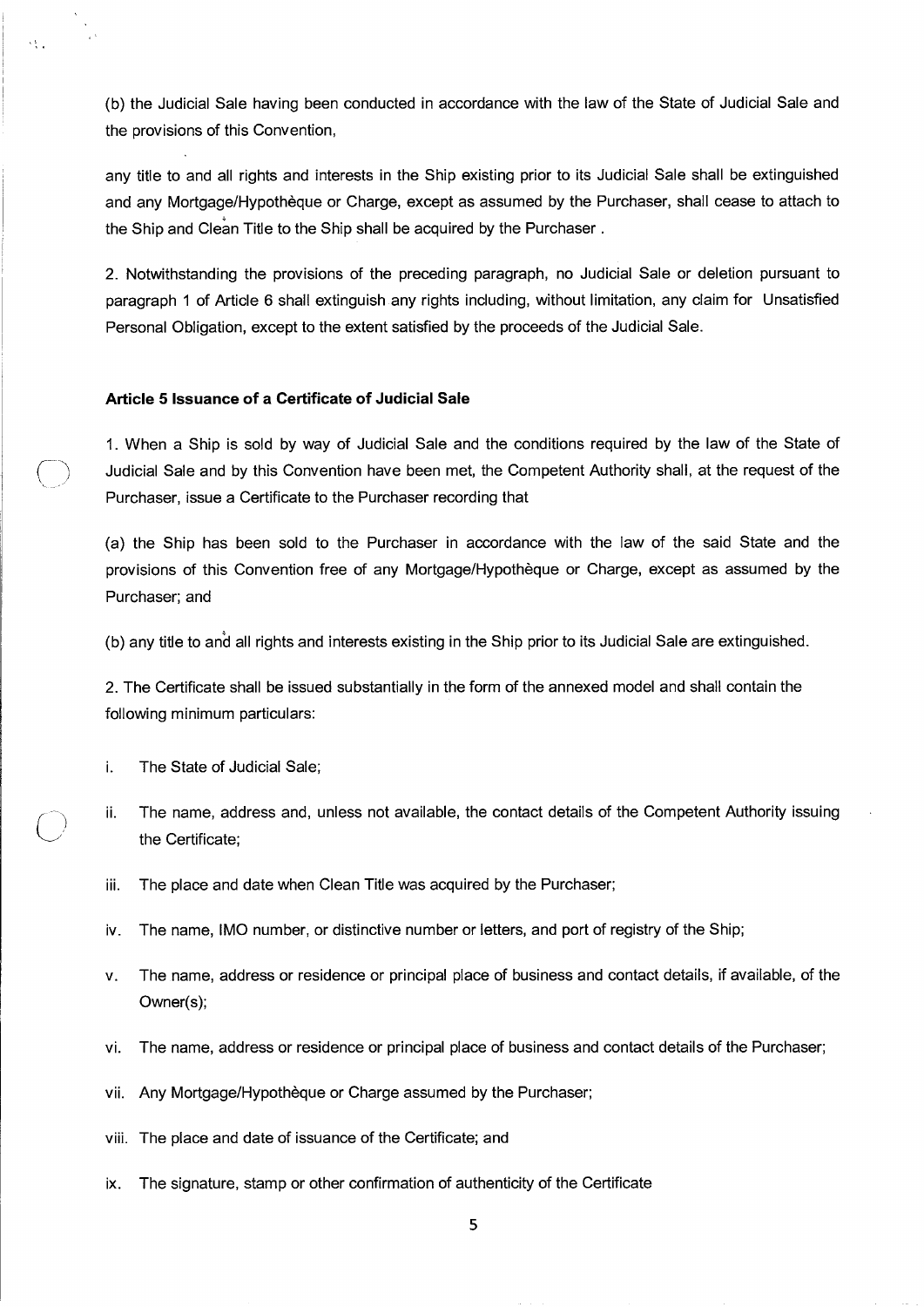(b) the Judicial Sale having been conducted in accordance with the law of the State of Judicial Sale and the provisions of this Convention,

any title to and all rights and interests in the Ship existing prior to its Judicial Sale shall be extinguished and any Mortgage/Hypothèque or Charge, except as assumed by the Purchaser, shall cease to attach to the Ship and Clean Title to the Ship shall be acquired by the Purchaser.

2. Notwithstanding the provisions of the preceding paragraph, no Judicial Sale or deletion pursuant to paragraph 1 of Article 6 shall extinguish any rights including, without limitation, any claim for Unsatisfied Personal Obligation, except to the extent satisfied by the proceeds of the Judicial Sale.

#### Article 5 Issuance of a Certificate of Judicial Sale

1. When a Ship is sold by way of Judicial Sale and the conditions required by the law of the State of Judicial Sale and by this Convention have been met, the Competent Authority shall, at the request of the Purchaser, issue a Certificate to the Purchaser recording that

(a) the Ship has been sold to the Purchaser in accordance with the law of the said State and the provisions of this Convention free of any Mortgage/Hypotheque or Charge, except as assumed by the Purchaser; and

(b) any title to and all rights and interests existing in the Ship prior to its Judicial Sale are extinguished.

2. The Certificate shall be issued substantially in the form of the annexed model and shall contain the following minimum particulars:

i. The State of Judicial Sale;

 $\mathcal{O}(\mathcal{E})$ 

- ii. The name, address and, unless not available, the contact details of the Competent Authority issuing the Certificate;
- iii. The place and date when Clean Title was acquired by the Purchaser;
- iv. The name, IMO number, or distinctive number or letters, and port of registry of the Ship;
- v. The name, address or residence or principal place of business and contact details, if available, of the Owner(s);
- vi. The name, address or residence or principal place of business and contact details of the Purchaser;
- vii. Any Mortgage/Hypothèque or Charge assumed by the Purchaser;
- viii. The place and date of issuance of the Certificate; and
- ix. The signature, stamp or other confirmation of authenticity of the Certificate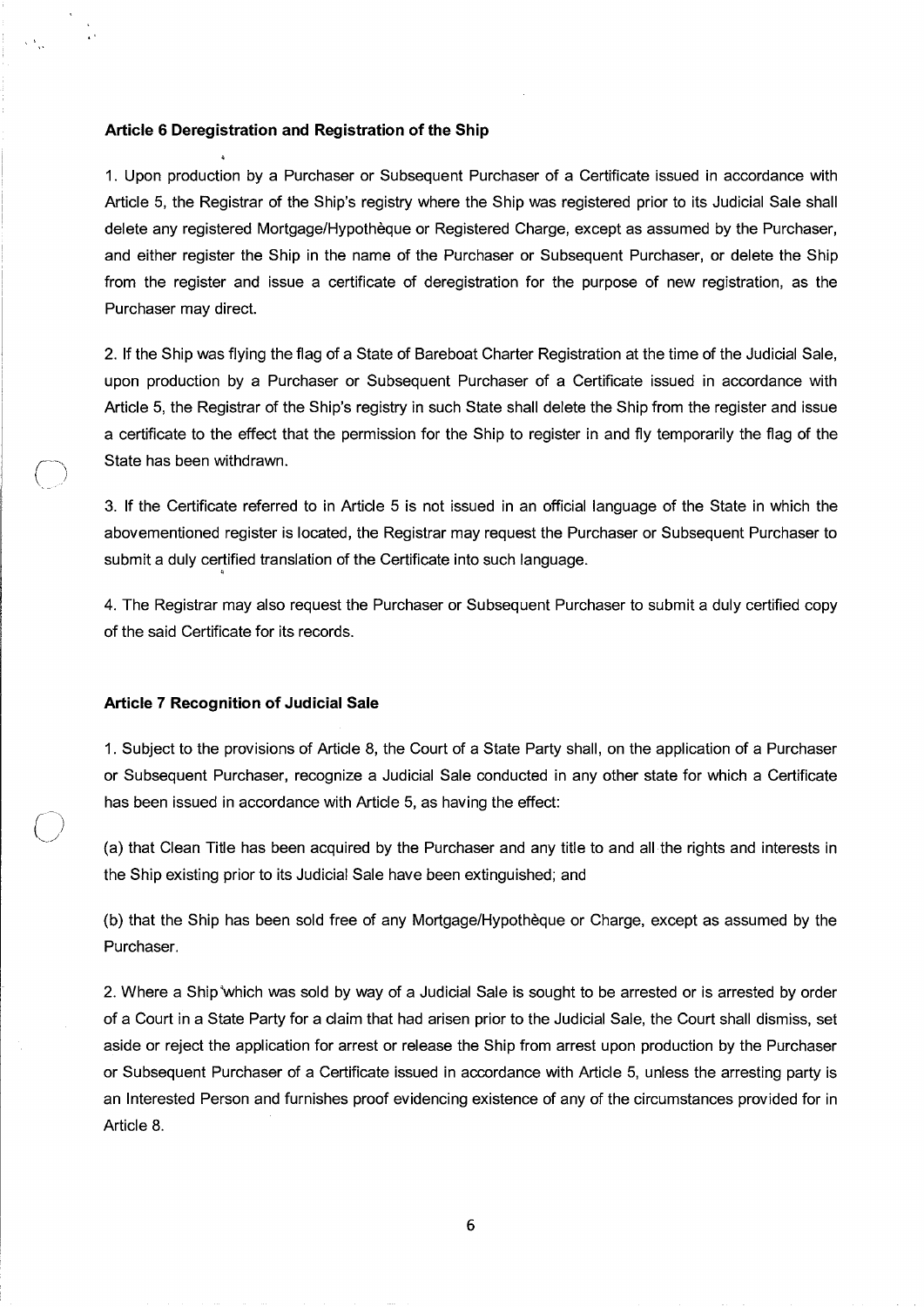## Article 6 Deregistration and Registration of the Ship

1. Upon production by a Purchaser or Subsequent Purchaser of a Certificate issued in accordance with Article 5, the Registrar of the Ship's registry where the Ship was registered prior to its Judicial Sale shall delete any registered Mortgage/Hypotheque or Registered Charge, except as assumed by the Purchaser, and either register the Ship in the name of the Purchaser or Subsequent Purchaser, or delete the Ship from the register and issue a certificate of deregistration for the purpose of new registration, as the Purchaser may direct.

2. If the Ship was flying the flag of a State of Bareboat Charter Registration at the time of the Judicial Sale, upon production by a Purchaser or Subsequent Purchaser of a Certificate issued in accordance with Article 5, the Registrar of the Ship's registry in such State shall delete the Ship from the register and issue a certificate to the effect that the permission for the Ship to register in and fly temporarily the flag of the State has been withdrawn.

3. If the Certificate referred to in Article 5 is not issued in an official language of the State in which the abovementioned register is located, the Registrar may request the Purchaser or Subsequent Purchaser to submit a duly certified translation of the Certificate into such language.

4. The Registrar may also request the Purchaser or Subsequent Purchaser to submit a duly certified copy of the said Certificate for its records.

#### Article 7 Recognition of Judicial Sale

a

1. Subject to the provisions of Article 8, the Court of a State Party shall, on the application of a Purchaser or Subsequent Purchaser, recognize a Judicial Sale conducted in any other state for which a Certificate has been issued in accordance with Article 5, as having the effect:

(a) that Clean Title has been acquired by the Purchaser and any title to and all the rights and interests in the Ship existing prior to its Judicial Sale have been extinguished; and

(b) that the Ship has been sold free of any Mortgage/Hypotheque or Charge, except as assumed by the Purchaser.

2. Where a Ship which was sold by way of a Judicial Sale is sought to be arrested or is arrested by order of a Court in a State Party for a claim that had arisen prior to the Judicial Sale, the Court shall dismiss, set aside or reject the application for arrest or release the Ship from arrest upon production by the Purchaser or Subsequent Purchaser of a Certificate issued in accordance with Article 5, unless the arresting party is an Interested Person and furnishes proof evidencing existence of any of the circumstances provided for in Article 8.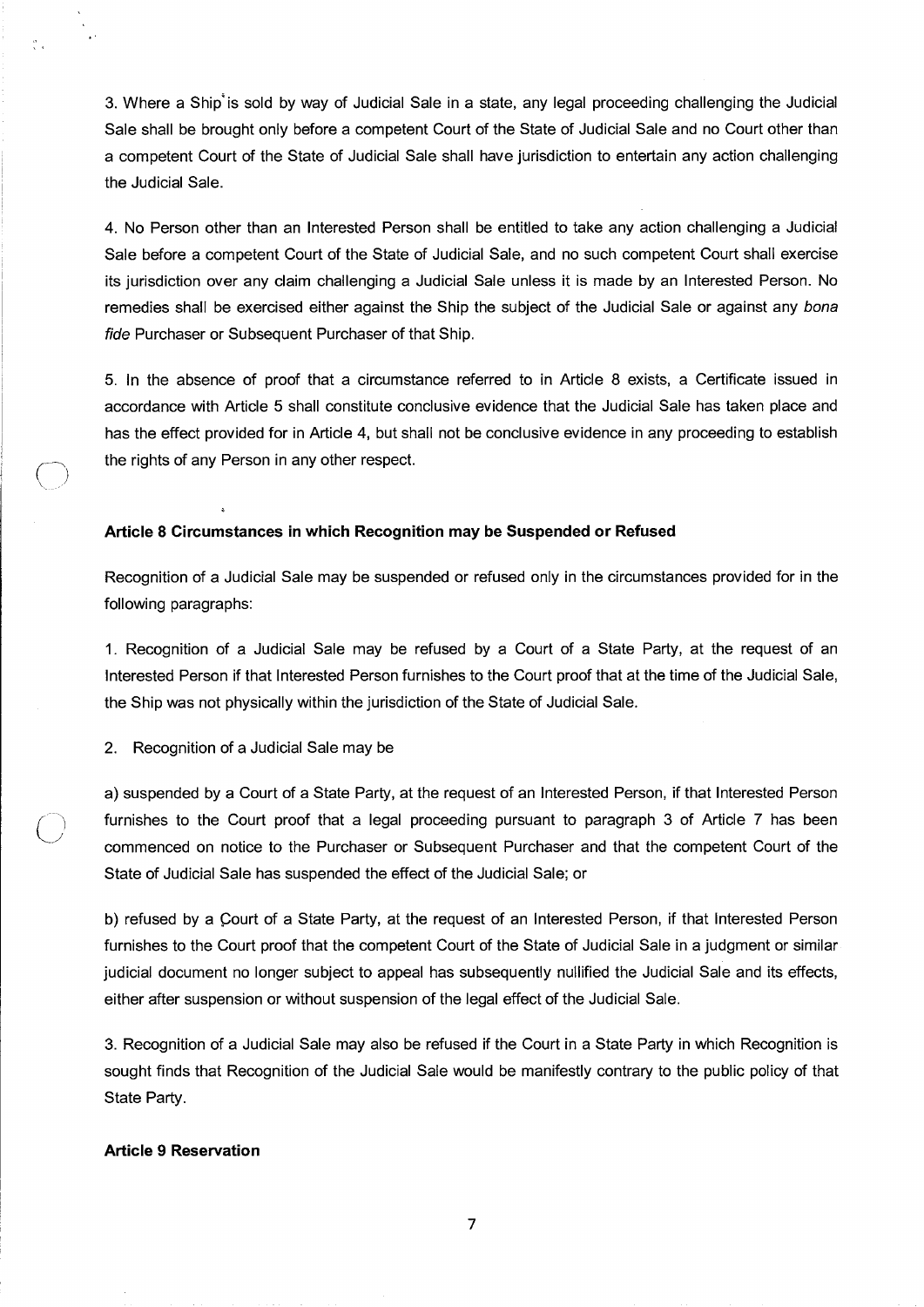3. Where a Ship'is sold by way of Judicial Sale in a state, any legal proceeding challenging the Judicial Sale shall be brought only before a competent Court of the State of Judicial Sale and no Court other than a competent Court of the State of Judicial Sale shall have jurisdiction to entertain any action challenging the Judicial Sale.

4. No Person other than an Interested Person shall be entitled to take any action challenging a Judicial Sale before a competent Court of the State of Judicial Sale, and no such competent Court shall exercise its jurisdiction over any claim challenging a Judicial Sale unless it is made by an Interested Person. No remedies shall be exercised either against the Ship the subject of the Judicial Sale or against any bona fide Purchaser or Subsequent Purchaser of that Ship.

5. In the absence of proof that a circumstance referred to in Article 8 exists, a Certificate issued in accordance with Article 5 shall constitute conclusive evidence that the Judicial Sale has taken place and has the effect provided for in Article 4, but shall not be conclusive evidence in any proceeding to establish the rights of any Person in any other respect.

# Article 8 Circumstances in which Recognition may be Suspended or Refused

Recognition of a Judicial Sale may be suspended or refused only in the circumstances provided for in the following paragraphs:

1. Recognition of a Judicial Sale may be refused by a Court of a State Party, at the request of an Interested Person if that Interested Person furnishes to the Court proof that at the time of the Judicial Sale, the Ship was not physically within the jurisdiction of the State of Judicial Sale.

2. Recognition of a Judicial Sale may be

a) suspended by a Court of a State Party, at the request of an Interested Person, if that Interested Person furnishes to the Court proof that a legal proceeding pursuant to paragraph 3 of Article 7 has been commenced on notice to the Purchaser or Subsequent Purchaser and that the competent Court of the State of Judicial Sale has suspended the effect of the Judicial Sale; or

b) refused by a Court of a State Party, at the request of an Interested Person, if that Interested Person furnishes to the Court proof that the competent Court of the State of Judicial Sale in a judgment or similar judicial document no longer subject to appeal has subsequently nullified the Judicial Sale and its effects, either after suspension or without suspension of the legal effect of the Judicial Sale.

3. Recognition of a Judicial Sale may also be refused if the Court in a State Party in which Recognition is sought finds that Recognition of the Judicial Sale would be manifestly contrary to the public policy of that State Party.

# Article 9 Reservation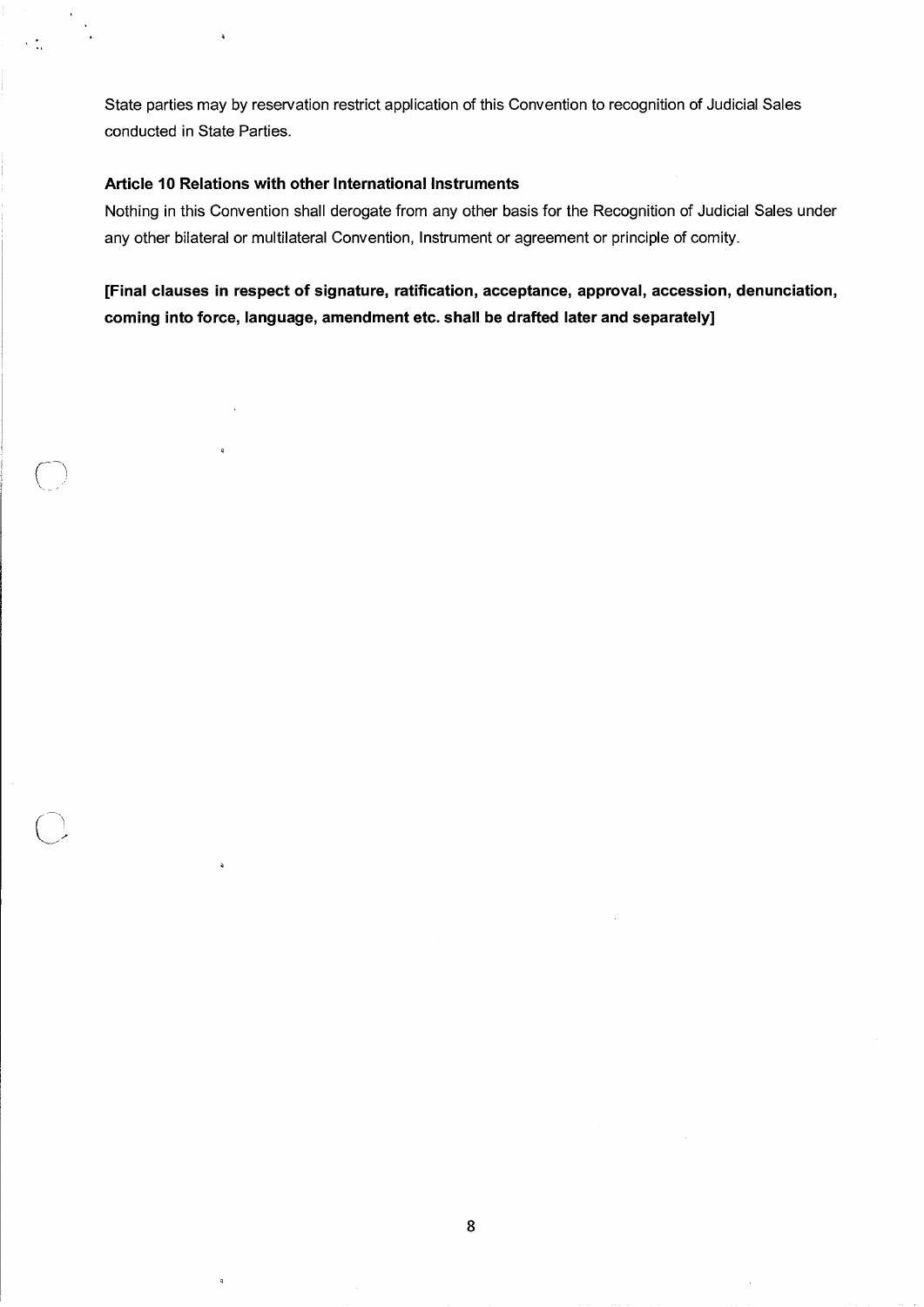State parties may by reservation restrict application of this Convention to recognition of Judicial Sales conducted in State Parties.

# Article 10 Relations with other International Instruments

 $\sim 10$ 

Nothing in this Convention shall derogate from any other basis for the Recognition of Judicial Sales under any other bilateral or multilateral Convention, Instrument or agreement or principle of comity.

[Final clauses in respect of signature, ratification, acceptance, approval, accession, denunciation, coming into force, language, amendment etc. shall be drafted later and separately]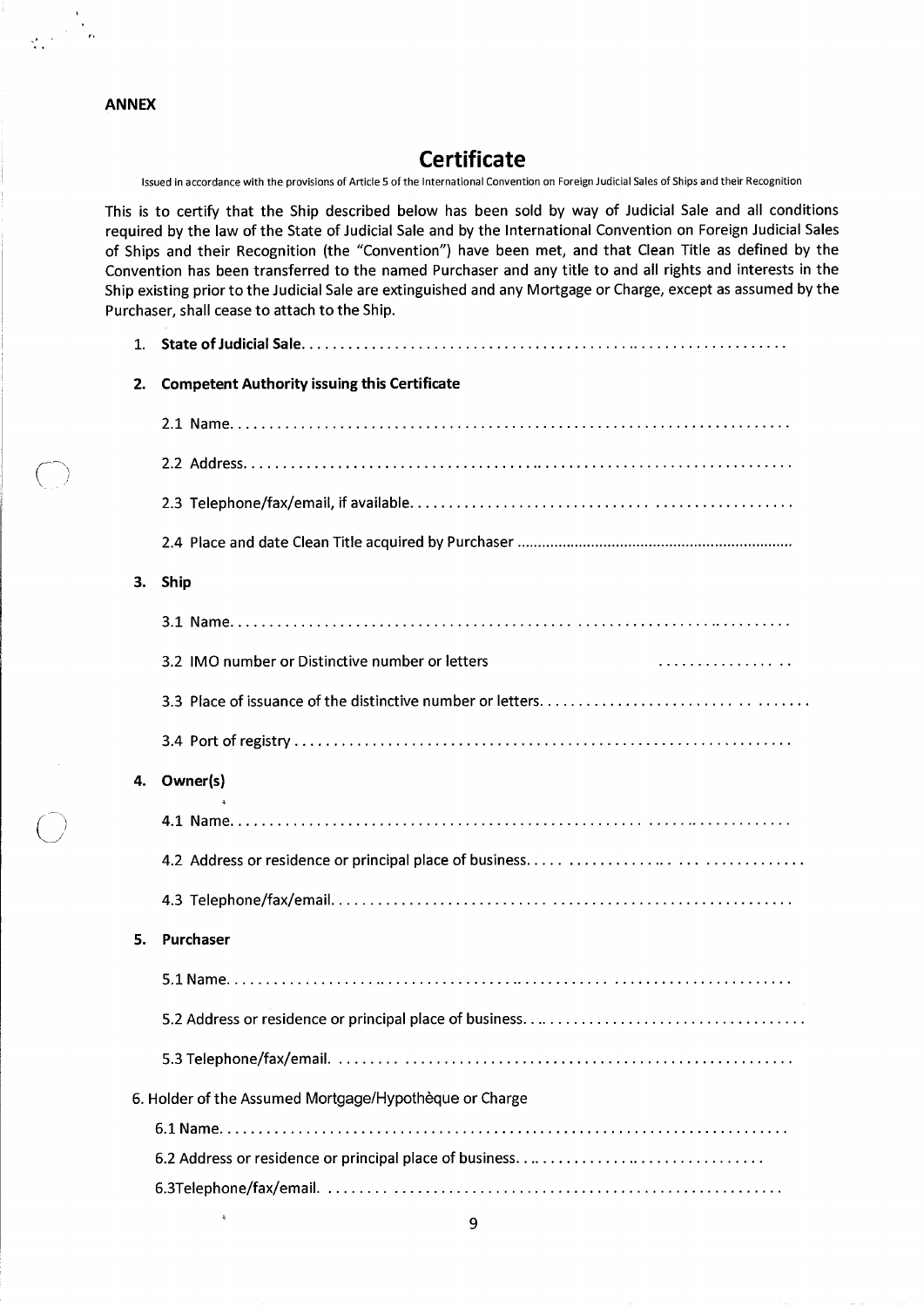ANNEX

 $\sum_{\substack{\mathbf{q} \in \mathbb{R}^d \\ \mathbf{q} \in \mathbb{R}^d}} \mathbb{E}_{\mathbf{q} \in \mathbb{R}^d} \mathbb{E}_{\mathbf{q} \in \mathbb{R}^d}$ 

# **Certificate**

Issued in accordance with the provisions of Article 5 of the International Convention on Foreign Judicial Sales of Ships and their Recognition

This is to certify that the Ship described below has been sold by way of Judicial Sale and all conditions required by the law of the State of Judicial Sale and by the International Convention on Foreign Judicial Sales of Ships and their Recognition (the "Convention") have been met, and that Clean Title as defined by the Convention has been transferred to the named Purchaser and any title to and all rights and interests in the Ship existing prior to the Judicial Sale are extinguished and any Mortgage or Charge, except as assumed by the Purchaser, shall cease to attach to the Ship.

| 1. |                                                        |
|----|--------------------------------------------------------|
| 2. | <b>Competent Authority issuing this Certificate</b>    |
|    |                                                        |
|    |                                                        |
|    |                                                        |
|    |                                                        |
| 3. | Ship                                                   |
|    |                                                        |
|    | 3.2 IMO number or Distinctive number or letters<br>.   |
|    |                                                        |
|    |                                                        |
| 4. | Owner(s)                                               |
|    |                                                        |
|    |                                                        |
|    |                                                        |
| 5. | Purchaser                                              |
|    |                                                        |
|    |                                                        |
|    |                                                        |
|    | 6. Holder of the Assumed Mortgage/Hypothèque or Charge |
|    |                                                        |
|    |                                                        |
|    |                                                        |
|    |                                                        |